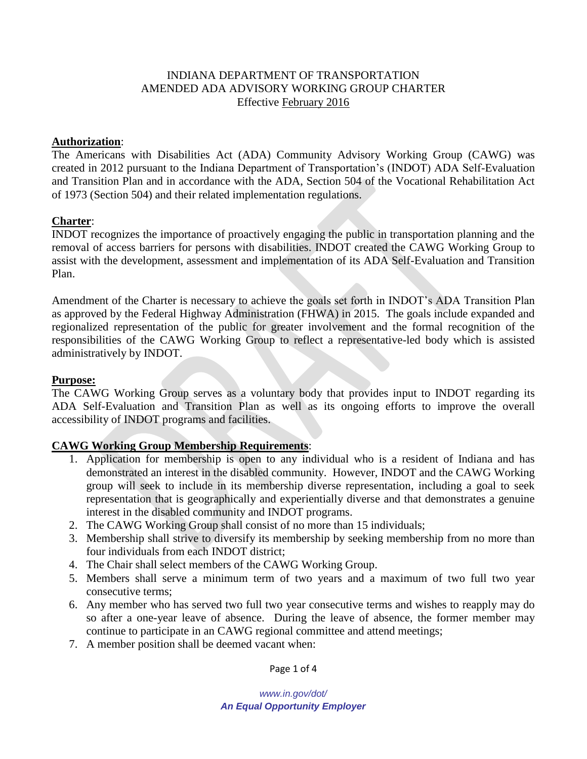## INDIANA DEPARTMENT OF TRANSPORTATION AMENDED ADA ADVISORY WORKING GROUP CHARTER Effective February 2016

#### **Authorization**:

The Americans with Disabilities Act (ADA) Community Advisory Working Group (CAWG) was created in 2012 pursuant to the Indiana Department of Transportation's (INDOT) ADA Self-Evaluation and Transition Plan and in accordance with the ADA, Section 504 of the Vocational Rehabilitation Act of 1973 (Section 504) and their related implementation regulations.

### **Charter**:

INDOT recognizes the importance of proactively engaging the public in transportation planning and the removal of access barriers for persons with disabilities. INDOT created the CAWG Working Group to assist with the development, assessment and implementation of its ADA Self-Evaluation and Transition Plan.

Amendment of the Charter is necessary to achieve the goals set forth in INDOT's ADA Transition Plan as approved by the Federal Highway Administration (FHWA) in 2015. The goals include expanded and regionalized representation of the public for greater involvement and the formal recognition of the responsibilities of the CAWG Working Group to reflect a representative-led body which is assisted administratively by INDOT.

#### **Purpose:**

The CAWG Working Group serves as a voluntary body that provides input to INDOT regarding its ADA Self-Evaluation and Transition Plan as well as its ongoing efforts to improve the overall accessibility of INDOT programs and facilities.

### **CAWG Working Group Membership Requirements**:

- 1. Application for membership is open to any individual who is a resident of Indiana and has demonstrated an interest in the disabled community. However, INDOT and the CAWG Working group will seek to include in its membership diverse representation, including a goal to seek representation that is geographically and experientially diverse and that demonstrates a genuine interest in the disabled community and INDOT programs.
- 2. The CAWG Working Group shall consist of no more than 15 individuals;
- 3. Membership shall strive to diversify its membership by seeking membership from no more than four individuals from each INDOT district;
- 4. The Chair shall select members of the CAWG Working Group.
- 5. Members shall serve a minimum term of two years and a maximum of two full two year consecutive terms;
- 6. Any member who has served two full two year consecutive terms and wishes to reapply may do so after a one-year leave of absence. During the leave of absence, the former member may continue to participate in an CAWG regional committee and attend meetings;
- 7. A member position shall be deemed vacant when:

Page 1 of 4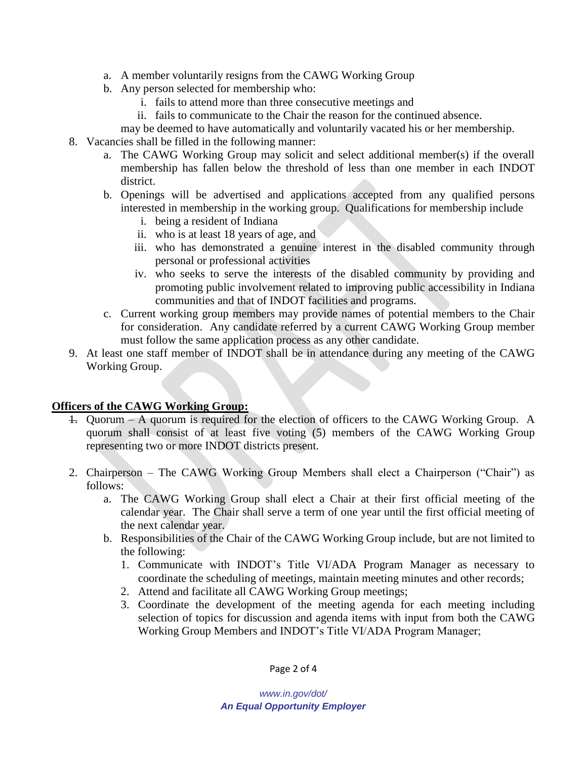- a. A member voluntarily resigns from the CAWG Working Group
- b. Any person selected for membership who:
	- i. fails to attend more than three consecutive meetings and
	- ii. fails to communicate to the Chair the reason for the continued absence.
	- may be deemed to have automatically and voluntarily vacated his or her membership.
- 8. Vacancies shall be filled in the following manner:
	- a. The CAWG Working Group may solicit and select additional member(s) if the overall membership has fallen below the threshold of less than one member in each INDOT district.
	- b. Openings will be advertised and applications accepted from any qualified persons interested in membership in the working group. Qualifications for membership include
		- i. being a resident of Indiana
		- ii. who is at least 18 years of age, and
		- iii. who has demonstrated a genuine interest in the disabled community through personal or professional activities
		- iv. who seeks to serve the interests of the disabled community by providing and promoting public involvement related to improving public accessibility in Indiana communities and that of INDOT facilities and programs.
	- c. Current working group members may provide names of potential members to the Chair for consideration. Any candidate referred by a current CAWG Working Group member must follow the same application process as any other candidate.
- 9. At least one staff member of INDOT shall be in attendance during any meeting of the CAWG Working Group.

## **Officers of the CAWG Working Group:**

- 1. Quorum A quorum is required for the election of officers to the CAWG Working Group. A quorum shall consist of at least five voting (5) members of the CAWG Working Group representing two or more INDOT districts present.
- 2. Chairperson The CAWG Working Group Members shall elect a Chairperson ("Chair") as follows:
	- a. The CAWG Working Group shall elect a Chair at their first official meeting of the calendar year. The Chair shall serve a term of one year until the first official meeting of the next calendar year.
	- b. Responsibilities of the Chair of the CAWG Working Group include, but are not limited to the following:
		- 1. Communicate with INDOT's Title VI/ADA Program Manager as necessary to coordinate the scheduling of meetings, maintain meeting minutes and other records;
		- 2. Attend and facilitate all CAWG Working Group meetings;
		- 3. Coordinate the development of the meeting agenda for each meeting including selection of topics for discussion and agenda items with input from both the CAWG Working Group Members and INDOT's Title VI/ADA Program Manager;

Page 2 of 4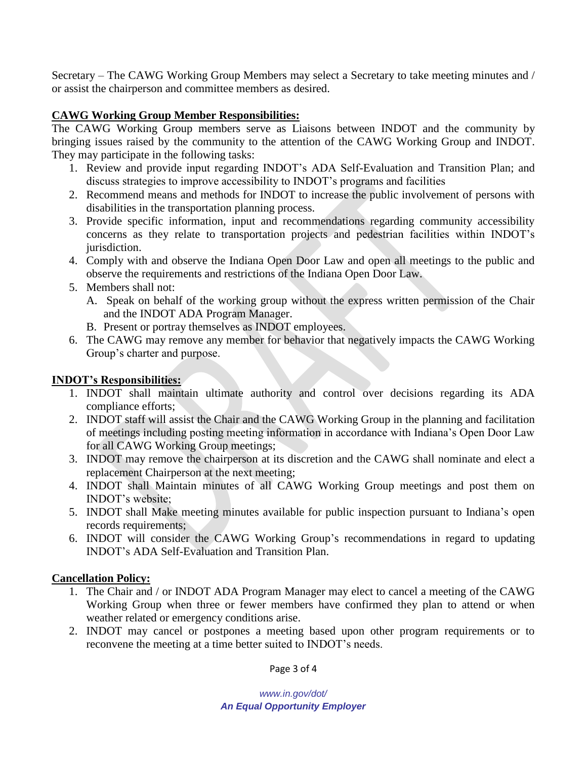Secretary – The CAWG Working Group Members may select a Secretary to take meeting minutes and / or assist the chairperson and committee members as desired.

# **CAWG Working Group Member Responsibilities:**

The CAWG Working Group members serve as Liaisons between INDOT and the community by bringing issues raised by the community to the attention of the CAWG Working Group and INDOT. They may participate in the following tasks:

- 1. Review and provide input regarding INDOT's ADA Self-Evaluation and Transition Plan; and discuss strategies to improve accessibility to INDOT's programs and facilities
- 2. Recommend means and methods for INDOT to increase the public involvement of persons with disabilities in the transportation planning process.
- 3. Provide specific information, input and recommendations regarding community accessibility concerns as they relate to transportation projects and pedestrian facilities within INDOT's jurisdiction.
- 4. Comply with and observe the Indiana Open Door Law and open all meetings to the public and observe the requirements and restrictions of the Indiana Open Door Law.
- 5. Members shall not:
	- A. Speak on behalf of the working group without the express written permission of the Chair and the INDOT ADA Program Manager.
	- B. Present or portray themselves as INDOT employees.
- 6. The CAWG may remove any member for behavior that negatively impacts the CAWG Working Group's charter and purpose.

# **INDOT's Responsibilities:**

- 1. INDOT shall maintain ultimate authority and control over decisions regarding its ADA compliance efforts;
- 2. INDOT staff will assist the Chair and the CAWG Working Group in the planning and facilitation of meetings including posting meeting information in accordance with Indiana's Open Door Law for all CAWG Working Group meetings;
- 3. INDOT may remove the chairperson at its discretion and the CAWG shall nominate and elect a replacement Chairperson at the next meeting;
- 4. INDOT shall Maintain minutes of all CAWG Working Group meetings and post them on INDOT's website;
- 5. INDOT shall Make meeting minutes available for public inspection pursuant to Indiana's open records requirements;
- 6. INDOT will consider the CAWG Working Group's recommendations in regard to updating INDOT's ADA Self-Evaluation and Transition Plan.

## **Cancellation Policy:**

- 1. The Chair and / or INDOT ADA Program Manager may elect to cancel a meeting of the CAWG Working Group when three or fewer members have confirmed they plan to attend or when weather related or emergency conditions arise.
- 2. INDOT may cancel or postpones a meeting based upon other program requirements or to reconvene the meeting at a time better suited to INDOT's needs.

Page 3 of 4